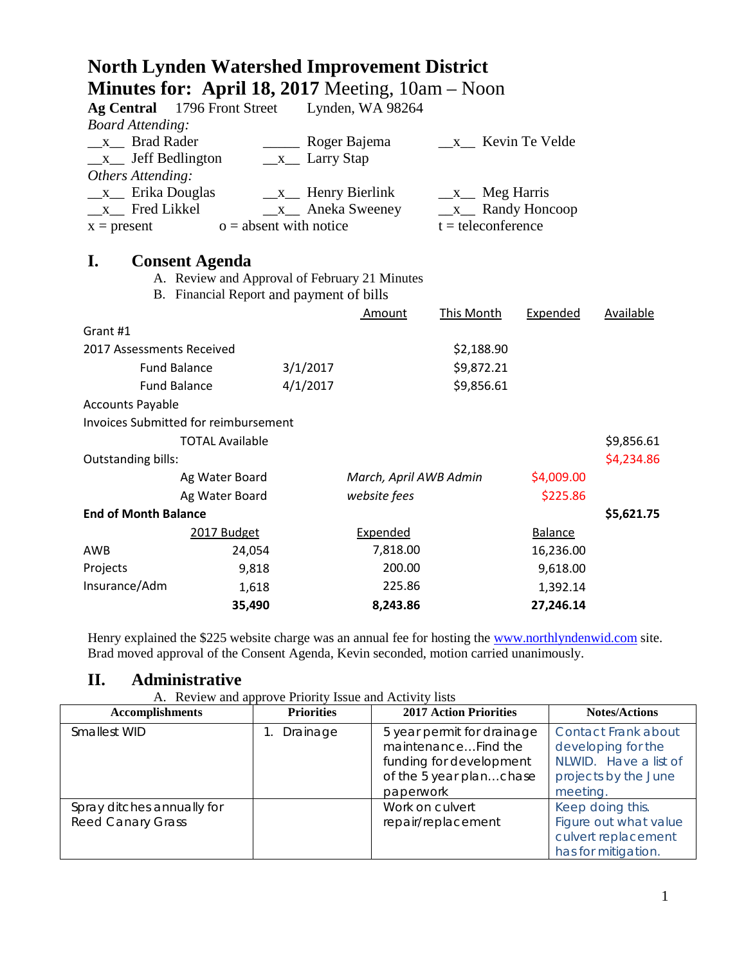|                             | <b>North Lynden Watershed Improvement District</b>                     |                                       |                        |                      |                   |            |
|-----------------------------|------------------------------------------------------------------------|---------------------------------------|------------------------|----------------------|-------------------|------------|
|                             | <b>Minutes for: April 18, 2017</b> Meeting, $10am - Noon$              |                                       |                        |                      |                   |            |
| <b>Ag Central</b>           | 1796 Front Street                                                      |                                       | Lynden, WA 98264       |                      |                   |            |
| <b>Board Attending:</b>     |                                                                        |                                       |                        |                      |                   |            |
| x Brad Rader                |                                                                        |                                       | Roger Bajema           | x Kevin Te Velde     |                   |            |
| $x$ Jeff Bedlington         |                                                                        | $\_\ x$ Larry Stap                    |                        |                      |                   |            |
| Others Attending:           |                                                                        |                                       |                        |                      |                   |            |
| $\mathbf{X}$                | Erika Douglas                                                          | $\frac{\mathbf{x}}{2}$ Henry Bierlink |                        | $x$ Meg Harris       |                   |            |
| x Fred Likkel               |                                                                        |                                       | $x$ Aneka Sweeney      |                      | $x$ Randy Honcoop |            |
| $x = present$               |                                                                        | $o =$ absent with notice              |                        | $t =$ teleconference |                   |            |
| I.                          |                                                                        |                                       |                        |                      |                   |            |
|                             | <b>Consent Agenda</b><br>A. Review and Approval of February 21 Minutes |                                       |                        |                      |                   |            |
|                             | B. Financial Report and payment of bills                               |                                       |                        |                      |                   |            |
|                             |                                                                        |                                       | Amount                 | This Month           | Expended          | Available  |
| Grant #1                    |                                                                        |                                       |                        |                      |                   |            |
| 2017 Assessments Received   |                                                                        |                                       |                        | \$2,188.90           |                   |            |
|                             | <b>Fund Balance</b>                                                    | 3/1/2017                              |                        | \$9,872.21           |                   |            |
|                             | <b>Fund Balance</b>                                                    | 4/1/2017                              |                        | \$9,856.61           |                   |            |
| <b>Accounts Payable</b>     |                                                                        |                                       |                        |                      |                   |            |
|                             | <b>Invoices Submitted for reimbursement</b>                            |                                       |                        |                      |                   |            |
|                             | <b>TOTAL Available</b>                                                 |                                       |                        |                      |                   | \$9,856.61 |
| Outstanding bills:          |                                                                        |                                       |                        |                      |                   | \$4,234.86 |
|                             | Ag Water Board                                                         |                                       | March, April AWB Admin |                      | \$4,009.00        |            |
|                             | Ag Water Board                                                         |                                       | website fees           |                      | \$225.86          |            |
| <b>End of Month Balance</b> |                                                                        |                                       |                        |                      |                   | \$5,621.75 |
|                             | 2017 Budget                                                            |                                       | Expended               |                      | <b>Balance</b>    |            |
| AWB                         | 24,054                                                                 |                                       | 7,818.00               |                      | 16,236.00         |            |
| Projects                    | 9,818                                                                  |                                       | 200.00                 |                      | 9,618.00          |            |
| Insurance/Adm               | 1,618                                                                  |                                       | 225.86                 |                      | 1,392.14          |            |
|                             | 35,490                                                                 |                                       | 8,243.86               |                      | 27,246.14         |            |

Henry explained the \$225 website charge was an annual fee for hosting the [www.northlyndenwid.com](http://www.northlyndenwid.com/) site. Brad moved approval of the Consent Agenda, Kevin seconded, motion carried unanimously.

## **II. Administrative**

A. Review and approve Priority Issue and Activity lists

| <b>Accomplishments</b>     | <b>Priorities</b> | <b>2017 Action Priorities</b> | <b>Notes/Actions</b>  |
|----------------------------|-------------------|-------------------------------|-----------------------|
| Smallest WID               | Drainage          | 5 year permit for drainage    | Contact Frank about   |
|                            |                   | maintenanceFind the           | developing for the    |
|                            |                   | funding for development       | NLWID. Have a list of |
|                            |                   | of the 5 year planchase       | projects by the June  |
|                            |                   | paperwork                     | meeting.              |
| Spray ditches annually for |                   | Work on culvert               | Keep doing this.      |
| <b>Reed Canary Grass</b>   |                   | repair/replacement            | Figure out what value |
|                            |                   |                               | culvert replacement   |
|                            |                   |                               | has for mitigation.   |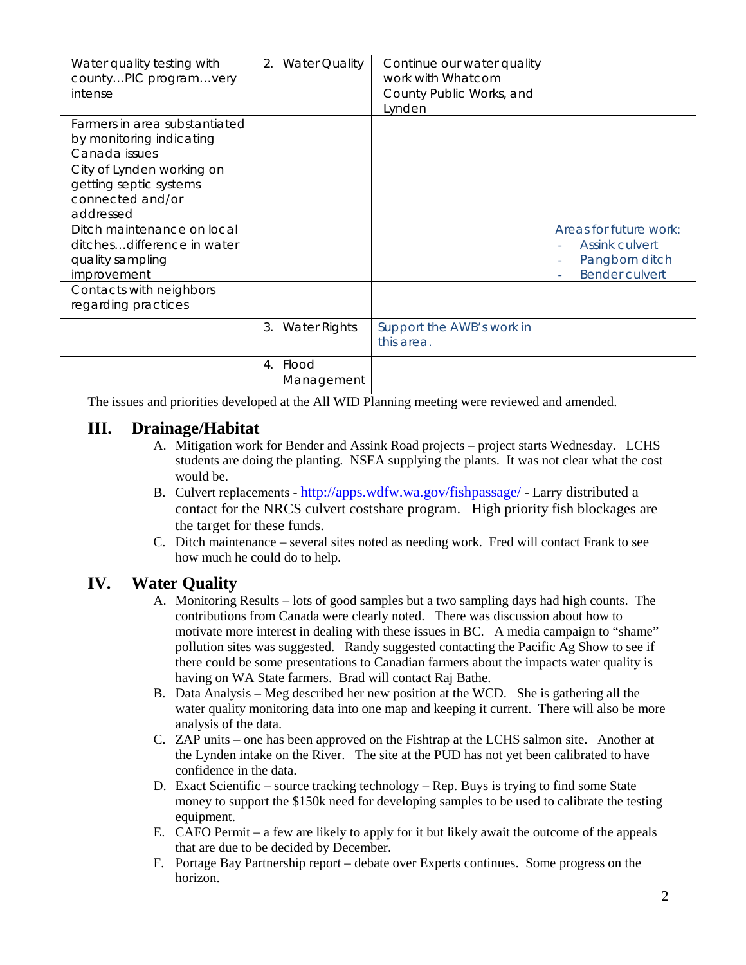| Water quality testing with<br>countyPIC programvery<br>intense                              | 2. Water Quality          | Continue our water quality<br>work with Whatcom<br>County Public Works, and<br>Lynden |                                                                                                 |
|---------------------------------------------------------------------------------------------|---------------------------|---------------------------------------------------------------------------------------|-------------------------------------------------------------------------------------------------|
| Farmers in area substantiated<br>by monitoring indicating<br>Canada issues                  |                           |                                                                                       |                                                                                                 |
| City of Lynden working on<br>getting septic systems<br>connected and/or<br>addressed        |                           |                                                                                       |                                                                                                 |
| Ditch maintenance on local<br>ditchesdifference in water<br>quality sampling<br>improvement |                           |                                                                                       | Areas for future work:<br><b>Assink culvert</b><br>Pangborn ditch<br>٠<br><b>Bender culvert</b> |
| Contacts with neighbors<br>regarding practices                                              |                           |                                                                                       |                                                                                                 |
|                                                                                             | 3. Water Rights           | Support the AWB's work in<br>this area.                                               |                                                                                                 |
|                                                                                             | Flood<br>4.<br>Management |                                                                                       |                                                                                                 |

The issues and priorities developed at the All WID Planning meeting were reviewed and amended.

## **III. Drainage/Habitat**

- A. Mitigation work for Bender and Assink Road projects project starts Wednesday. LCHS students are doing the planting. NSEA supplying the plants. It was not clear what the cost would be.
- B. Culvert replacements <http://apps.wdfw.wa.gov/fishpassage/> Larry distributed a contact for the NRCS culvert costshare program. High priority fish blockages are the target for these funds.
- C. Ditch maintenance several sites noted as needing work. Fred will contact Frank to see how much he could do to help.

## **IV. Water Quality**

- A. Monitoring Results lots of good samples but a two sampling days had high counts. The contributions from Canada were clearly noted. There was discussion about how to motivate more interest in dealing with these issues in BC. A media campaign to "shame" pollution sites was suggested. Randy suggested contacting the Pacific Ag Show to see if there could be some presentations to Canadian farmers about the impacts water quality is having on WA State farmers. Brad will contact Raj Bathe.
- B. Data Analysis Meg described her new position at the WCD. She is gathering all the water quality monitoring data into one map and keeping it current. There will also be more analysis of the data.
- C. ZAP units one has been approved on the Fishtrap at the LCHS salmon site. Another at the Lynden intake on the River. The site at the PUD has not yet been calibrated to have confidence in the data.
- D. Exact Scientific source tracking technology Rep. Buys is trying to find some State money to support the \$150k need for developing samples to be used to calibrate the testing equipment.
- E. CAFO Permit a few are likely to apply for it but likely await the outcome of the appeals that are due to be decided by December.
- F. Portage Bay Partnership report debate over Experts continues. Some progress on the horizon.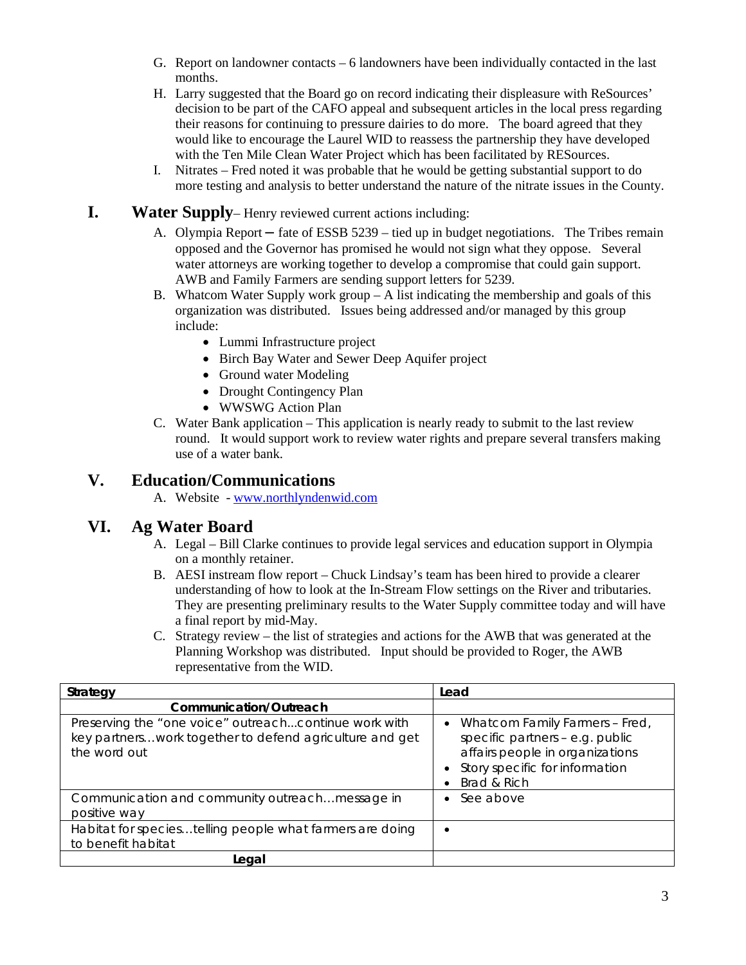- G. Report on landowner contacts 6 landowners have been individually contacted in the last months.
- H. Larry suggested that the Board go on record indicating their displeasure with ReSources' decision to be part of the CAFO appeal and subsequent articles in the local press regarding their reasons for continuing to pressure dairies to do more. The board agreed that they would like to encourage the Laurel WID to reassess the partnership they have developed with the Ten Mile Clean Water Project which has been facilitated by RESources.
- I. Nitrates Fred noted it was probable that he would be getting substantial support to do more testing and analysis to better understand the nature of the nitrate issues in the County.

#### **I. Water Supply**– Henry reviewed current actions including:

- A. Olympia Report **–** fate of ESSB 5239 tied up in budget negotiations. The Tribes remain opposed and the Governor has promised he would not sign what they oppose. Several water attorneys are working together to develop a compromise that could gain support. AWB and Family Farmers are sending support letters for 5239.
- B. Whatcom Water Supply work group  $-A$  list indicating the membership and goals of this organization was distributed. Issues being addressed and/or managed by this group include:
	- Lummi Infrastructure project
	- Birch Bay Water and Sewer Deep Aquifer project
	- Ground water Modeling
	- Drought Contingency Plan
	- WWSWG Action Plan
- C. Water Bank application This application is nearly ready to submit to the last review round. It would support work to review water rights and prepare several transfers making use of a water bank.

### **V. Education/Communications**

A. Website - [www.northlyndenwid.com](http://www.northlyndenwid.com/)

## **VI. Ag Water Board**

- A. Legal Bill Clarke continues to provide legal services and education support in Olympia on a monthly retainer.
- B. AESI instream flow report Chuck Lindsay's team has been hired to provide a clearer understanding of how to look at the In-Stream Flow settings on the River and tributaries. They are presenting preliminary results to the Water Supply committee today and will have a final report by mid-May.
- C. Strategy review the list of strategies and actions for the AWB that was generated at the Planning Workshop was distributed. Input should be provided to Roger, the AWB representative from the WID.

| Strategy                                                                                                                         | Lead                                                                                                                                                  |
|----------------------------------------------------------------------------------------------------------------------------------|-------------------------------------------------------------------------------------------------------------------------------------------------------|
| Communication/Outreach                                                                                                           |                                                                                                                                                       |
| Preserving the "one voice" outreachcontinue work with<br>key partnerswork together to defend agriculture and get<br>the word out | Whatcom Family Farmers - Fred,<br>specific partners - e.g. public<br>affairs people in organizations<br>Story specific for information<br>Brad & Rich |
| Communication and community outreach message in<br>positive way                                                                  | See above                                                                                                                                             |
| Habitat for speciestelling people what farmers are doing<br>to benefit habitat                                                   |                                                                                                                                                       |
| Legal                                                                                                                            |                                                                                                                                                       |